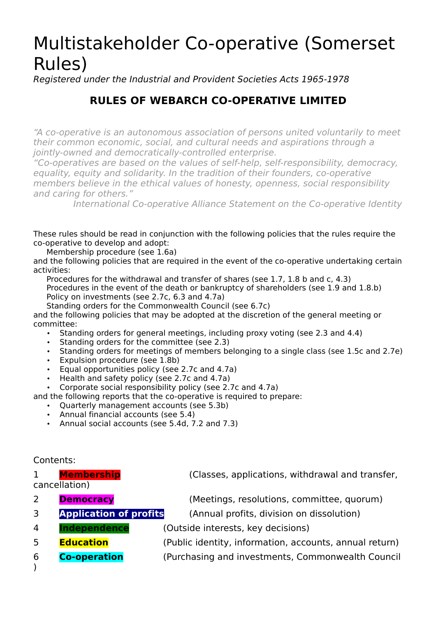# Multistakeholder Co-operative (Somerset Rules)

Registered under the Industrial and Provident Societies Acts 1965-1978

### **RULES OF WEBARCH CO-OPERATIVE LIMITED**

"A co-operative is an autonomous association of persons united voluntarily to meet their common economic, social, and cultural needs and aspirations through a jointly-owned and democratically-controlled enterprise.

"Co-operatives are based on the values of self-help, self-responsibility, democracy, equality, equity and solidarity. In the tradition of their founders, co-operative members believe in the ethical values of honesty, openness, social responsibility and caring for others."

International Co-operative Alliance Statement on the Co-operative Identity

These rules should be read in conjunction with the following policies that the rules require the co-operative to develop and adopt:

Membership procedure (see 1.6a)

and the following policies that are required in the event of the co-operative undertaking certain activities:

Procedures for the withdrawal and transfer of shares (see 1.7, 1.8 b and c, 4.3) Procedures in the event of the death or bankruptcy of shareholders (see 1.9 and 1.8.b) Policy on investments (see 2.7c, 6.3 and 4.7a)

Standing orders for the Commonwealth Council (see 6.7c)

and the following policies that may be adopted at the discretion of the general meeting or committee:

- Standing orders for general meetings, including proxy voting (see 2.3 and 4.4)
- Standing orders for the committee (see 2.3)
- Standing orders for meetings of members belonging to a single class (see 1.5c and 2.7e)
- Expulsion procedure (see 1.8b)
- Equal opportunities policy (see 2.7c and 4.7a)
- Health and safety policy (see 2.7c and 4.7a)
- Corporate social responsibility policy (see 2.7c and 4.7a)

and the following reports that the co-operative is required to prepare:

- Quarterly management accounts (see 5.3b)
- Annual financial accounts (see 5.4)
- Annual social accounts (see 5.4d, 7.2 and 7.3)

#### Contents:

 $\lambda$ 

cancellation)

- 
- 
- 
- 
- 

1 **Membership** (Classes, applications, withdrawal and transfer,

2 **Democracy** (Meetings, resolutions, committee, quorum)

3 **Application of profits** (Annual profits, division on dissolution)

- 4 **Independence** (Outside interests, key decisions)
- 5 **Education** (Public identity, information, accounts, annual return)
- 6 **Co-operation** (Purchasing and investments, Commonwealth Council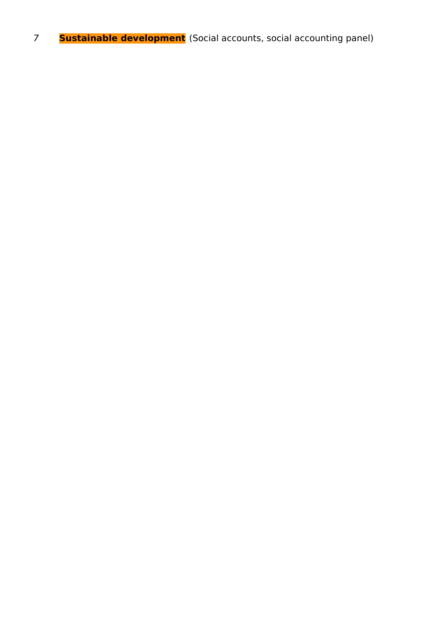**Sustainable development** (Social accounts, social accounting panel)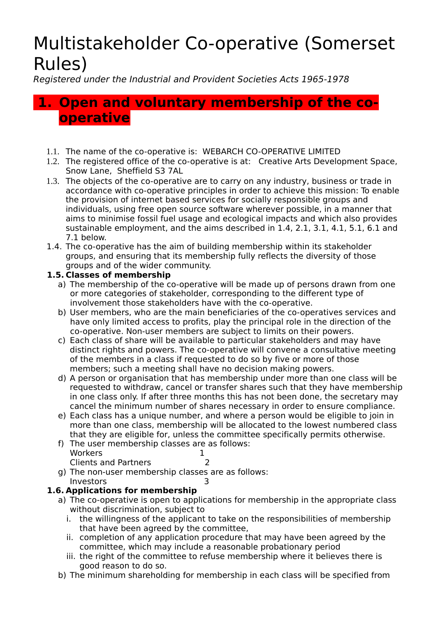# Multistakeholder Co-operative (Somerset Rules)

Registered under the Industrial and Provident Societies Acts 1965-1978

## **1. Open and voluntary membership of the cooperative**

- 1.1. The name of the co-operative is: WEBARCH CO-OPERATIVE LIMITED
- 1.2. The registered office of the co-operative is at: Creative Arts Development Space, Snow Lane, Sheffield S3 7AL
- 1.3. The objects of the co-operative are to carry on any industry, business or trade in accordance with co-operative principles in order to achieve this mission: To enable the provision of internet based services for socially responsible groups and individuals, using free open source software wherever possible, in a manner that aims to minimise fossil fuel usage and ecological impacts and which also provides sustainable employment, and the aims described in 1.4, 2.1, 3.1, 4.1, 5.1, 6.1 and 7.1 below.
- 1.4. The co-operative has the aim of building membership within its stakeholder groups, and ensuring that its membership fully reflects the diversity of those groups and of the wider community.

#### **1.5. Classes of membership**

- a) The membership of the co-operative will be made up of persons drawn from one or more categories of stakeholder, corresponding to the different type of involvement those stakeholders have with the co-operative.
- b) User members, who are the main beneficiaries of the co-operatives services and have only limited access to profits, play the principal role in the direction of the co-operative. Non-user members are subject to limits on their powers.
- c) Each class of share will be available to particular stakeholders and may have distinct rights and powers. The co-operative will convene a consultative meeting of the members in a class if requested to do so by five or more of those members; such a meeting shall have no decision making powers.
- d) A person or organisation that has membership under more than one class will be requested to withdraw, cancel or transfer shares such that they have membership in one class only. If after three months this has not been done, the secretary may cancel the minimum number of shares necessary in order to ensure compliance.
- e) Each class has a unique number, and where a person would be eligible to join in more than one class, membership will be allocated to the lowest numbered class that they are eligible for, unless the committee specifically permits otherwise.
- f) The user membership classes are as follows: Workers 1 Clients and Partners 2
- g) The non-user membership classes are as follows: Investors 3

#### **1.6. Applications for membership**

- a) The co-operative is open to applications for membership in the appropriate class without discrimination, subject to
	- i. the willingness of the applicant to take on the responsibilities of membership that have been agreed by the committee,
	- ii. completion of any application procedure that may have been agreed by the committee, which may include a reasonable probationary period
	- iii. the right of the committee to refuse membership where it believes there is good reason to do so.
- b) The minimum shareholding for membership in each class will be specified from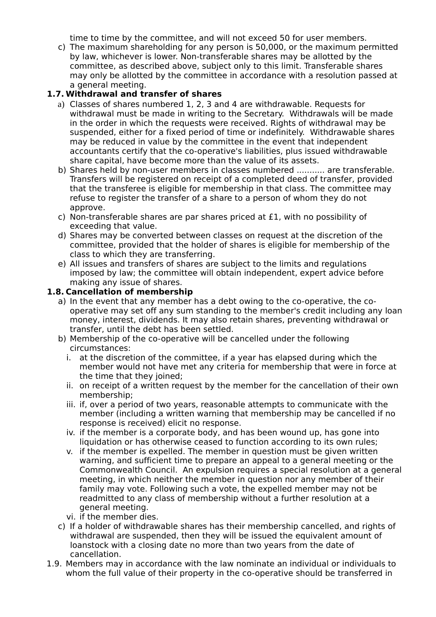time to time by the committee, and will not exceed 50 for user members.

 c) The maximum shareholding for any person is 50,000, or the maximum permitted by law, whichever is lower. Non-transferable shares may be allotted by the committee, as described above, subject only to this limit. Transferable shares may only be allotted by the committee in accordance with a resolution passed at a general meeting.

#### **1.7. Withdrawal and transfer of shares**

- a) Classes of shares numbered 1, 2, 3 and 4 are withdrawable. Requests for withdrawal must be made in writing to the Secretary. Withdrawals will be made in the order in which the requests were received. Rights of withdrawal may be suspended, either for a fixed period of time or indefinitely. Withdrawable shares may be reduced in value by the committee in the event that independent accountants certify that the co-operative's liabilities, plus issued withdrawable share capital, have become more than the value of its assets.
- b) Shares held by non-user members in classes numbered ........... are transferable. Transfers will be registered on receipt of a completed deed of transfer, provided that the transferee is eligible for membership in that class. The committee may refuse to register the transfer of a share to a person of whom they do not approve.
- c) Non-transferable shares are par shares priced at £1, with no possibility of exceeding that value.
- d) Shares may be converted between classes on request at the discretion of the committee, provided that the holder of shares is eligible for membership of the class to which they are transferring.
- e) All issues and transfers of shares are subject to the limits and regulations imposed by law; the committee will obtain independent, expert advice before making any issue of shares.

#### **1.8. Cancellation of membership**

- a) In the event that any member has a debt owing to the co-operative, the cooperative may set off any sum standing to the member's credit including any loan money, interest, dividends. It may also retain shares, preventing withdrawal or transfer, until the debt has been settled.
- b) Membership of the co-operative will be cancelled under the following circumstances:
	- i. at the discretion of the committee, if a year has elapsed during which the member would not have met any criteria for membership that were in force at the time that they joined;
	- ii. on receipt of a written request by the member for the cancellation of their own membership;
	- iii. if, over a period of two years, reasonable attempts to communicate with the member (including a written warning that membership may be cancelled if no response is received) elicit no response.
	- iv. if the member is a corporate body, and has been wound up, has gone into liquidation or has otherwise ceased to function according to its own rules;
	- v. if the member is expelled. The member in question must be given written warning, and sufficient time to prepare an appeal to a general meeting or the Commonwealth Council. An expulsion requires a special resolution at a general meeting, in which neither the member in question nor any member of their family may vote. Following such a vote, the expelled member may not be readmitted to any class of membership without a further resolution at a general meeting.
	- vi. if the member dies.
- c) If a holder of withdrawable shares has their membership cancelled, and rights of withdrawal are suspended, then they will be issued the equivalent amount of loanstock with a closing date no more than two years from the date of cancellation.
- 1.9. Members may in accordance with the law nominate an individual or individuals to whom the full value of their property in the co-operative should be transferred in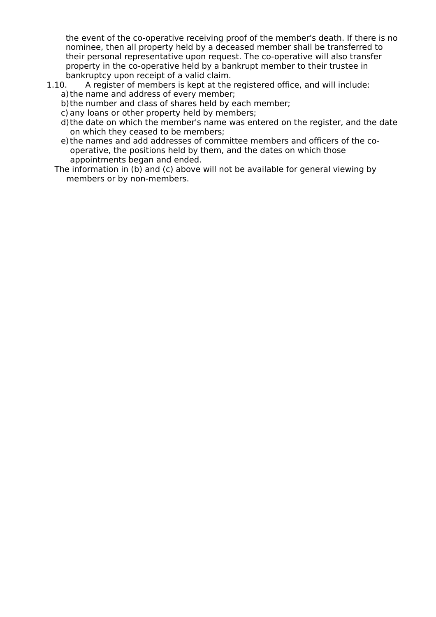the event of the co-operative receiving proof of the member's death. If there is no nominee, then all property held by a deceased member shall be transferred to their personal representative upon request. The co-operative will also transfer property in the co-operative held by a bankrupt member to their trustee in bankruptcy upon receipt of a valid claim.

- 1.10. A register of members is kept at the registered office, and will include: a)the name and address of every member;
	- b)the number and class of shares held by each member;
	- c) any loans or other property held by members;
	- d)the date on which the member's name was entered on the register, and the date on which they ceased to be members;
	- e)the names and add addresses of committee members and officers of the cooperative, the positions held by them, and the dates on which those appointments began and ended.
	- The information in (b) and (c) above will not be available for general viewing by members or by non-members.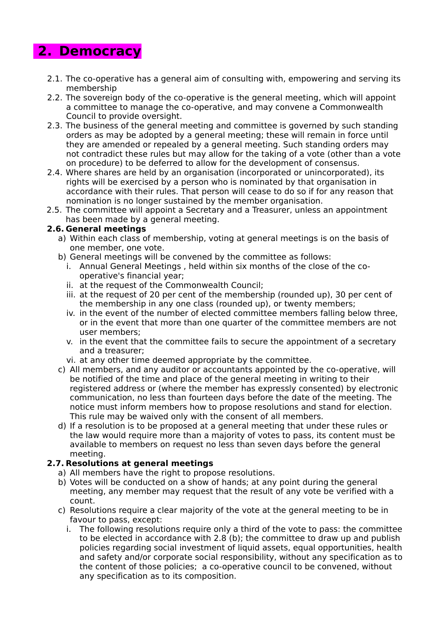# **2. Democracy**

- 2.1. The co-operative has a general aim of consulting with, empowering and serving its membership
- 2.2. The sovereign body of the co-operative is the general meeting, which will appoint a committee to manage the co-operative, and may convene a Commonwealth Council to provide oversight.
- 2.3. The business of the general meeting and committee is governed by such standing orders as may be adopted by a general meeting; these will remain in force until they are amended or repealed by a general meeting. Such standing orders may not contradict these rules but may allow for the taking of a vote (other than a vote on procedure) to be deferred to allow for the development of consensus.
- 2.4. Where shares are held by an organisation (incorporated or unincorporated), its rights will be exercised by a person who is nominated by that organisation in accordance with their rules. That person will cease to do so if for any reason that nomination is no longer sustained by the member organisation.
- 2.5. The committee will appoint a Secretary and a Treasurer, unless an appointment has been made by a general meeting.

#### **2.6. General meetings**

- a) Within each class of membership, voting at general meetings is on the basis of one member, one vote.
- b) General meetings will be convened by the committee as follows:
	- i. Annual General Meetings, held within six months of the close of the cooperative's financial year;
	- ii. at the request of the Commonwealth Council;
	- iii. at the request of 20 per cent of the membership (rounded up), 30 per cent of the membership in any one class (rounded up), or twenty members;
	- iv. in the event of the number of elected committee members falling below three, or in the event that more than one quarter of the committee members are not user members;
	- v. in the event that the committee fails to secure the appointment of a secretary and a treasurer;
	- vi. at any other time deemed appropriate by the committee.
- c) All members, and any auditor or accountants appointed by the co-operative, will be notified of the time and place of the general meeting in writing to their registered address or (where the member has expressly consented) by electronic communication, no less than fourteen days before the date of the meeting. The notice must inform members how to propose resolutions and stand for election. This rule may be waived only with the consent of all members.
- d) If a resolution is to be proposed at a general meeting that under these rules or the law would require more than a majority of votes to pass, its content must be available to members on request no less than seven days before the general meeting.

#### **2.7. Resolutions at general meetings**

- a) All members have the right to propose resolutions.
- b) Votes will be conducted on a show of hands; at any point during the general meeting, any member may request that the result of any vote be verified with a count.
- c) Resolutions require a clear majority of the vote at the general meeting to be in favour to pass, except:
	- i. The following resolutions require only a third of the vote to pass: the committee to be elected in accordance with 2.8 (b); the committee to draw up and publish policies regarding social investment of liquid assets, equal opportunities, health and safety and/or corporate social responsibility, without any specification as to the content of those policies; a co-operative council to be convened, without any specification as to its composition.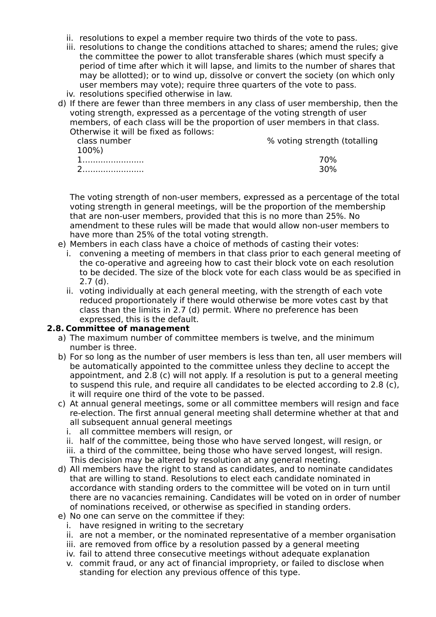- ii. resolutions to expel a member require two thirds of the vote to pass.
- iii. resolutions to change the conditions attached to shares; amend the rules; give the committee the power to allot transferable shares (which must specify a period of time after which it will lapse, and limits to the number of shares that may be allotted); or to wind up, dissolve or convert the society (on which only user members may vote); require three quarters of the vote to pass.
- iv. resolutions specified otherwise in law.
- d) If there are fewer than three members in any class of user membership, then the voting strength, expressed as a percentage of the voting strength of user members, of each class will be the proportion of user members in that class. Otherwise it will be fixed as follows:

| class number<br>100%) | % voting strength (totalling |
|-----------------------|------------------------------|
|                       | 70%                          |
|                       | 30%                          |

The voting strength of non-user members, expressed as a percentage of the total voting strength in general meetings, will be the proportion of the membership that are non-user members, provided that this is no more than 25%. No amendment to these rules will be made that would allow non-user members to have more than 25% of the total voting strength.

- e) Members in each class have a choice of methods of casting their votes:
	- i. convening a meeting of members in that class prior to each general meeting of the co-operative and agreeing how to cast their block vote on each resolution to be decided. The size of the block vote for each class would be as specified in 2.7 (d).
	- ii. voting individually at each general meeting, with the strength of each vote reduced proportionately if there would otherwise be more votes cast by that class than the limits in 2.7 (d) permit. Where no preference has been expressed, this is the default.

#### **2.8. Committee of management**

- a) The maximum number of committee members is twelve, and the minimum number is three.
- b) For so long as the number of user members is less than ten, all user members will be automatically appointed to the committee unless they decline to accept the appointment, and 2.8 (c) will not apply. If a resolution is put to a general meeting to suspend this rule, and require all candidates to be elected according to 2.8 (c), it will require one third of the vote to be passed.
- c) At annual general meetings, some or all committee members will resign and face re-election. The first annual general meeting shall determine whether at that and all subsequent annual general meetings
	- i. all committee members will resign, or
	- ii. half of the committee, being those who have served longest, will resign, or
	- iii. a third of the committee, being those who have served longest, will resign. This decision may be altered by resolution at any general meeting.
- d) All members have the right to stand as candidates, and to nominate candidates that are willing to stand. Resolutions to elect each candidate nominated in accordance with standing orders to the committee will be voted on in turn until there are no vacancies remaining. Candidates will be voted on in order of number of nominations received, or otherwise as specified in standing orders.
- e) No one can serve on the committee if they:
	- i. have resigned in writing to the secretary
	- ii. are not a member, or the nominated representative of a member organisation
	- iii. are removed from office by a resolution passed by a general meeting
	- iv. fail to attend three consecutive meetings without adequate explanation
	- v. commit fraud, or any act of financial impropriety, or failed to disclose when standing for election any previous offence of this type.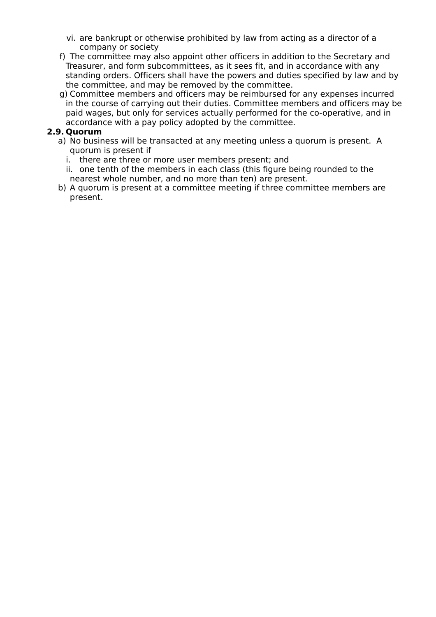- vi. are bankrupt or otherwise prohibited by law from acting as a director of a company or society
- f) The committee may also appoint other officers in addition to the Secretary and Treasurer, and form subcommittees, as it sees fit, and in accordance with any standing orders. Officers shall have the powers and duties specified by law and by the committee, and may be removed by the committee.
- g) Committee members and officers may be reimbursed for any expenses incurred in the course of carrying out their duties. Committee members and officers may be paid wages, but only for services actually performed for the co-operative, and in accordance with a pay policy adopted by the committee.

#### **2.9. Quorum**

- a) No business will be transacted at any meeting unless a quorum is present. A quorum is present if
	- i. there are three or more user members present; and
	- ii. one tenth of the members in each class (this figure being rounded to the nearest whole number, and no more than ten) are present.
- b) A quorum is present at a committee meeting if three committee members are present.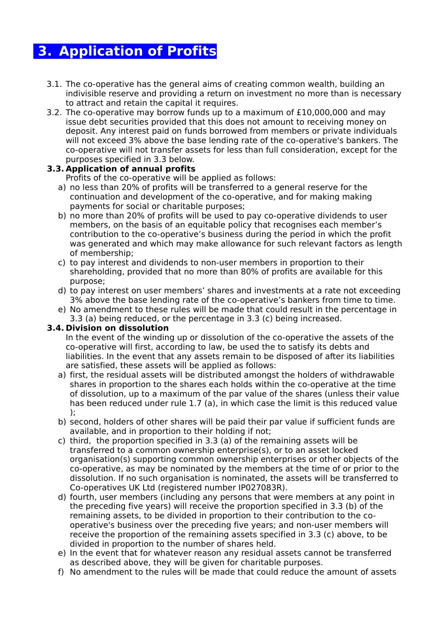## **3. Application of Profits**

- 3.1. The co-operative has the general aims of creating common wealth, building an indivisible reserve and providing a return on investment no more than is necessary to attract and retain the capital it requires.
- 3.2. The co-operative may borrow funds up to a maximum of £10,000,000 and may issue debt securities provided that this does not amount to receiving money on deposit. Any interest paid on funds borrowed from members or private individuals will not exceed 3% above the base lending rate of the co-operative's bankers. The co-operative will not transfer assets for less than full consideration, except for the purposes specified in 3.3 below.

#### **3.3. Application of annual profits**

Profits of the co-operative will be applied as follows:

- a) no less than 20% of profits will be transferred to a general reserve for the continuation and development of the co-operative, and for making making payments for social or charitable purposes;
- b) no more than 20% of profits will be used to pay co-operative dividends to user members, on the basis of an equitable policy that recognises each member's contribution to the co-operative's business during the period in which the profit was generated and which may make allowance for such relevant factors as length of membership;
- c) to pay interest and dividends to non-user members in proportion to their shareholding, provided that no more than 80% of profits are available for this purpose;
- d) to pay interest on user members' shares and investments at a rate not exceeding 3% above the base lending rate of the co-operative's bankers from time to time.
- e) No amendment to these rules will be made that could result in the percentage in 3.3 (a) being reduced, or the percentage in 3.3 (c) being increased.

#### **3.4. Division on dissolution**

In the event of the winding up or dissolution of the co-operative the assets of the co-operative will first, according to law, be used the to satisfy its debts and liabilities. In the event that any assets remain to be disposed of after its liabilities are satisfied, these assets will be applied as follows:

- a) first, the residual assets will be distributed amongst the holders of withdrawable shares in proportion to the shares each holds within the co-operative at the time of dissolution, up to a maximum of the par value of the shares (unless their value has been reduced under rule 1.7 (a), in which case the limit is this reduced value );
- b) second, holders of other shares will be paid their par value if sufficient funds are available, and in proportion to their holding if not;
- c) third, the proportion specified in 3.3 (a) of the remaining assets will be transferred to a common ownership enterprise(s), or to an asset locked organisation(s) supporting common ownership enterprises or other objects of the co-operative, as may be nominated by the members at the time of or prior to the dissolution. If no such organisation is nominated, the assets will be transferred to Co-operatives UK Ltd (registered number IP027083R).
- d) fourth, user members (including any persons that were members at any point in the preceding five years) will receive the proportion specified in 3.3 (b) of the remaining assets, to be divided in proportion to their contribution to the cooperative's business over the preceding five years; and non-user members will receive the proportion of the remaining assets specified in 3.3 (c) above, to be divided in proportion to the number of shares held.
- e) In the event that for whatever reason any residual assets cannot be transferred as described above, they will be given for charitable purposes.
- f) No amendment to the rules will be made that could reduce the amount of assets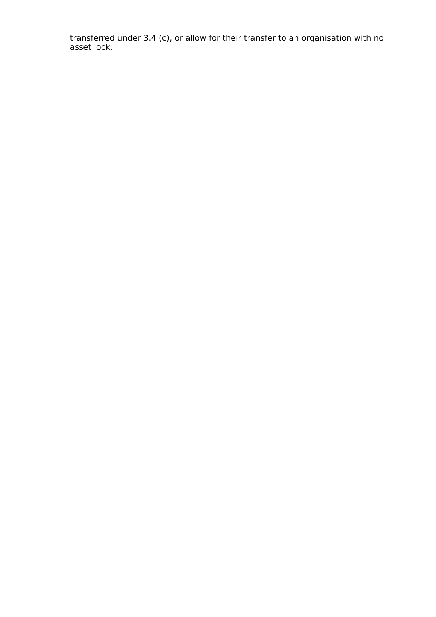transferred under 3.4 (c), or allow for their transfer to an organisation with no asset lock.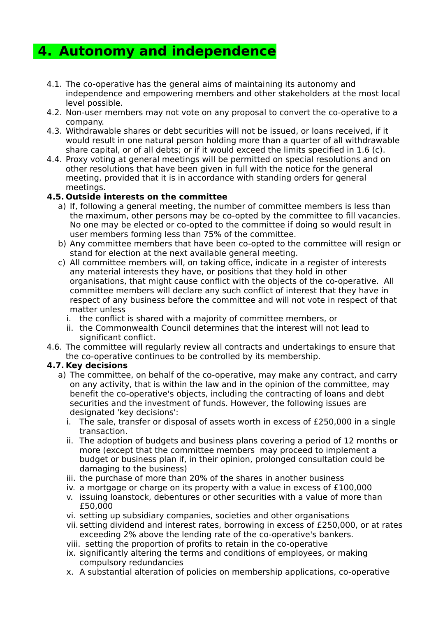### **4. Autonomy and independence**

- 4.1. The co-operative has the general aims of maintaining its autonomy and independence and empowering members and other stakeholders at the most local level possible.
- 4.2. Non-user members may not vote on any proposal to convert the co-operative to a company.
- 4.3. Withdrawable shares or debt securities will not be issued, or loans received, if it would result in one natural person holding more than a quarter of all withdrawable share capital, or of all debts; or if it would exceed the limits specified in 1.6 (c).
- 4.4. Proxy voting at general meetings will be permitted on special resolutions and on other resolutions that have been given in full with the notice for the general meeting, provided that it is in accordance with standing orders for general meetings.

#### **4.5. Outside interests on the committee**

- a) If, following a general meeting, the number of committee members is less than the maximum, other persons may be co-opted by the committee to fill vacancies. No one may be elected or co-opted to the committee if doing so would result in user members forming less than 75% of the committee.
- b) Any committee members that have been co-opted to the committee will resign or stand for election at the next available general meeting.
- c) All committee members will, on taking office, indicate in a register of interests any material interests they have, or positions that they hold in other organisations, that might cause conflict with the objects of the co-operative. All committee members will declare any such conflict of interest that they have in respect of any business before the committee and will not vote in respect of that matter unless
	- i. the conflict is shared with a majority of committee members, or
	- ii. the Commonwealth Council determines that the interest will not lead to significant conflict.
- 4.6. The committee will regularly review all contracts and undertakings to ensure that the co-operative continues to be controlled by its membership.

#### **4.7. Key decisions**

- a) The committee, on behalf of the co-operative, may make any contract, and carry on any activity, that is within the law and in the opinion of the committee, may benefit the co-operative's objects, including the contracting of loans and debt securities and the investment of funds. However, the following issues are designated 'key decisions':
	- i. The sale, transfer or disposal of assets worth in excess of £250,000 in a single transaction.
	- ii. The adoption of budgets and business plans covering a period of 12 months or more (except that the committee members may proceed to implement a budget or business plan if, in their opinion, prolonged consultation could be damaging to the business)
	- iii. the purchase of more than 20% of the shares in another business
	- iv. a mortgage or charge on its property with a value in excess of £100,000
	- v. issuing loanstock, debentures or other securities with a value of more than £50,000
	- vi. setting up subsidiary companies, societies and other organisations
	- vii. setting dividend and interest rates, borrowing in excess of £250,000, or at rates exceeding 2% above the lending rate of the co-operative's bankers.
	- viii. setting the proportion of profits to retain in the co-operative
	- ix. significantly altering the terms and conditions of employees, or making compulsory redundancies
	- x. A substantial alteration of policies on membership applications, co-operative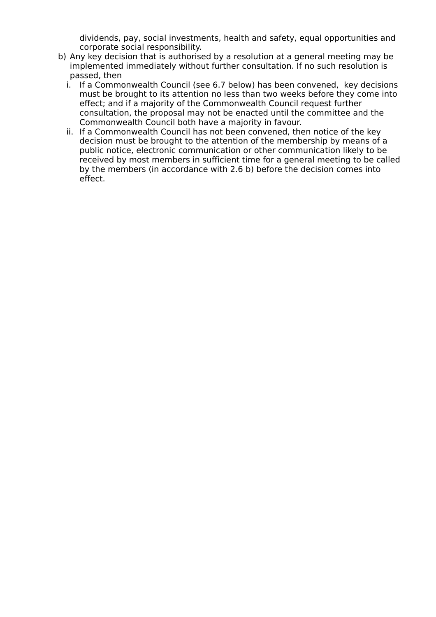dividends, pay, social investments, health and safety, equal opportunities and corporate social responsibility.

- b) Any key decision that is authorised by a resolution at a general meeting may be implemented immediately without further consultation. If no such resolution is passed, then
	- i. If a Commonwealth Council (see 6.7 below) has been convened, key decisions must be brought to its attention no less than two weeks before they come into effect; and if a majority of the Commonwealth Council request further consultation, the proposal may not be enacted until the committee and the Commonwealth Council both have a majority in favour.
	- ii. If a Commonwealth Council has not been convened, then notice of the key decision must be brought to the attention of the membership by means of a public notice, electronic communication or other communication likely to be received by most members in sufficient time for a general meeting to be called by the members (in accordance with 2.6 b) before the decision comes into effect.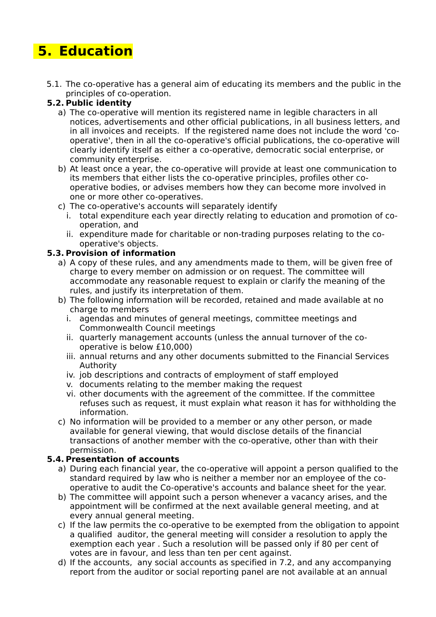# **5. Education**

 5.1. The co-operative has a general aim of educating its members and the public in the principles of co-operation.

#### **5.2. Public identity**

- a) The co-operative will mention its registered name in legible characters in all notices, advertisements and other official publications, in all business letters, and in all invoices and receipts. If the registered name does not include the word 'cooperative', then in all the co-operative's official publications, the co-operative will clearly identify itself as either a co-operative, democratic social enterprise, or community enterprise.
- b) At least once a year, the co-operative will provide at least one communication to its members that either lists the co-operative principles, profiles other cooperative bodies, or advises members how they can become more involved in one or more other co-operatives.
- c) The co-operative's accounts will separately identify
	- i. total expenditure each year directly relating to education and promotion of cooperation, and
	- ii. expenditure made for charitable or non-trading purposes relating to the cooperative's objects.

#### **5.3. Provision of information**

- a) A copy of these rules, and any amendments made to them, will be given free of charge to every member on admission or on request. The committee will accommodate any reasonable request to explain or clarify the meaning of the rules, and justify its interpretation of them.
- b) The following information will be recorded, retained and made available at no charge to members
	- i. agendas and minutes of general meetings, committee meetings and Commonwealth Council meetings
	- ii. quarterly management accounts (unless the annual turnover of the cooperative is below £10,000)
	- iii. annual returns and any other documents submitted to the Financial Services Authority
	- iv. job descriptions and contracts of employment of staff employed
	- v. documents relating to the member making the request
	- vi. other documents with the agreement of the committee. If the committee refuses such as request, it must explain what reason it has for withholding the information.
- c) No information will be provided to a member or any other person, or made available for general viewing, that would disclose details of the financial transactions of another member with the co-operative, other than with their permission.

#### **5.4. Presentation of accounts**

- a) During each financial year, the co-operative will appoint a person qualified to the standard required by law who is neither a member nor an employee of the cooperative to audit the Co-operative's accounts and balance sheet for the year.
- b) The committee will appoint such a person whenever a vacancy arises, and the appointment will be confirmed at the next available general meeting, and at every annual general meeting.
- c) If the law permits the co-operative to be exempted from the obligation to appoint a qualified auditor, the general meeting will consider a resolution to apply the exemption each year . Such a resolution will be passed only if 80 per cent of votes are in favour, and less than ten per cent against.
- d) If the accounts, any social accounts as specified in 7.2, and any accompanying report from the auditor or social reporting panel are not available at an annual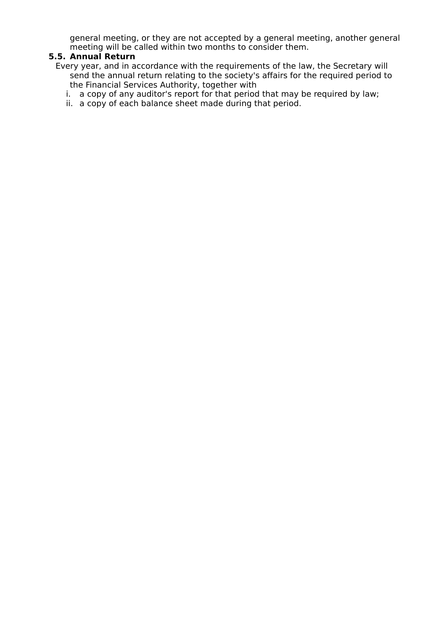general meeting, or they are not accepted by a general meeting, another general meeting will be called within two months to consider them.

#### **5.5. Annual Return**

- Every year, and in accordance with the requirements of the law, the Secretary will send the annual return relating to the society's affairs for the required period to the Financial Services Authority, together with
	- i. a copy of any auditor's report for that period that may be required by law;
	- ii. a copy of each balance sheet made during that period.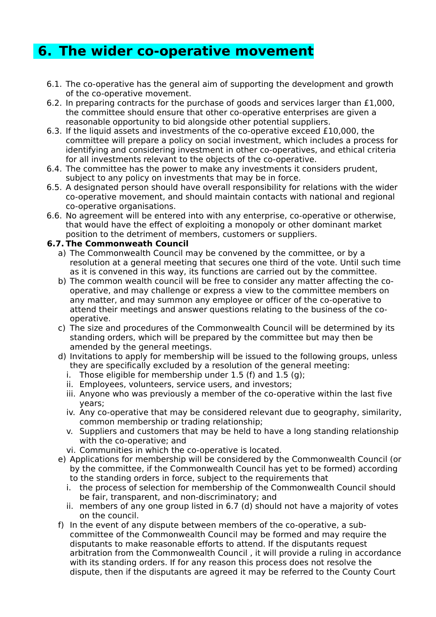### **6. The wider co-operative movement**

- 6.1. The co-operative has the general aim of supporting the development and growth of the co-operative movement.
- 6.2. In preparing contracts for the purchase of goods and services larger than £1,000, the committee should ensure that other co-operative enterprises are given a reasonable opportunity to bid alongside other potential suppliers.
- 6.3. If the liquid assets and investments of the co-operative exceed £10,000, the committee will prepare a policy on social investment, which includes a process for identifying and considering investment in other co-operatives, and ethical criteria for all investments relevant to the objects of the co-operative.
- 6.4. The committee has the power to make any investments it considers prudent, subject to any policy on investments that may be in force.
- 6.5. A designated person should have overall responsibility for relations with the wider co-operative movement, and should maintain contacts with national and regional co-operative organisations.
- 6.6. No agreement will be entered into with any enterprise, co-operative or otherwise, that would have the effect of exploiting a monopoly or other dominant market position to the detriment of members, customers or suppliers.

#### **6.7. The Commonweath Council**

- a) The Commonwealth Council may be convened by the committee, or by a resolution at a general meeting that secures one third of the vote. Until such time as it is convened in this way, its functions are carried out by the committee.
- b) The common wealth council will be free to consider any matter affecting the cooperative, and may challenge or express a view to the committee members on any matter, and may summon any employee or officer of the co-operative to attend their meetings and answer questions relating to the business of the cooperative.
- c) The size and procedures of the Commonwealth Council will be determined by its standing orders, which will be prepared by the committee but may then be amended by the general meetings.
- d) Invitations to apply for membership will be issued to the following groups, unless they are specifically excluded by a resolution of the general meeting:
	- i. Those eligible for membership under  $1.5$  (f) and  $1.5$  (g);
	- ii. Employees, volunteers, service users, and investors;
	- iii. Anyone who was previously a member of the co-operative within the last five years;
	- iv. Any co-operative that may be considered relevant due to geography, similarity, common membership or trading relationship;
	- v. Suppliers and customers that may be held to have a long standing relationship with the co-operative; and
	- vi. Communities in which the co-operative is located.
- e) Applications for membership will be considered by the Commonwealth Council (or by the committee, if the Commonwealth Council has yet to be formed) according to the standing orders in force, subject to the requirements that
	- i. the process of selection for membership of the Commonwealth Council should be fair, transparent, and non-discriminatory; and
	- ii. members of any one group listed in 6.7 (d) should not have a majority of votes on the council.
- f) In the event of any dispute between members of the co-operative, a subcommittee of the Commonwealth Council may be formed and may require the disputants to make reasonable efforts to attend. If the disputants request arbitration from the Commonwealth Council , it will provide a ruling in accordance with its standing orders. If for any reason this process does not resolve the dispute, then if the disputants are agreed it may be referred to the County Court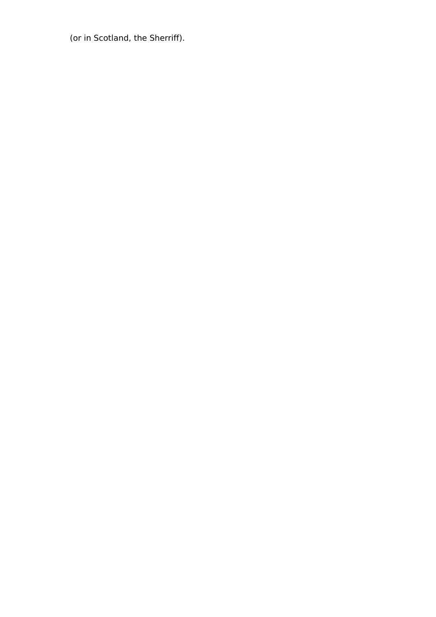(or in Scotland, the Sherriff).